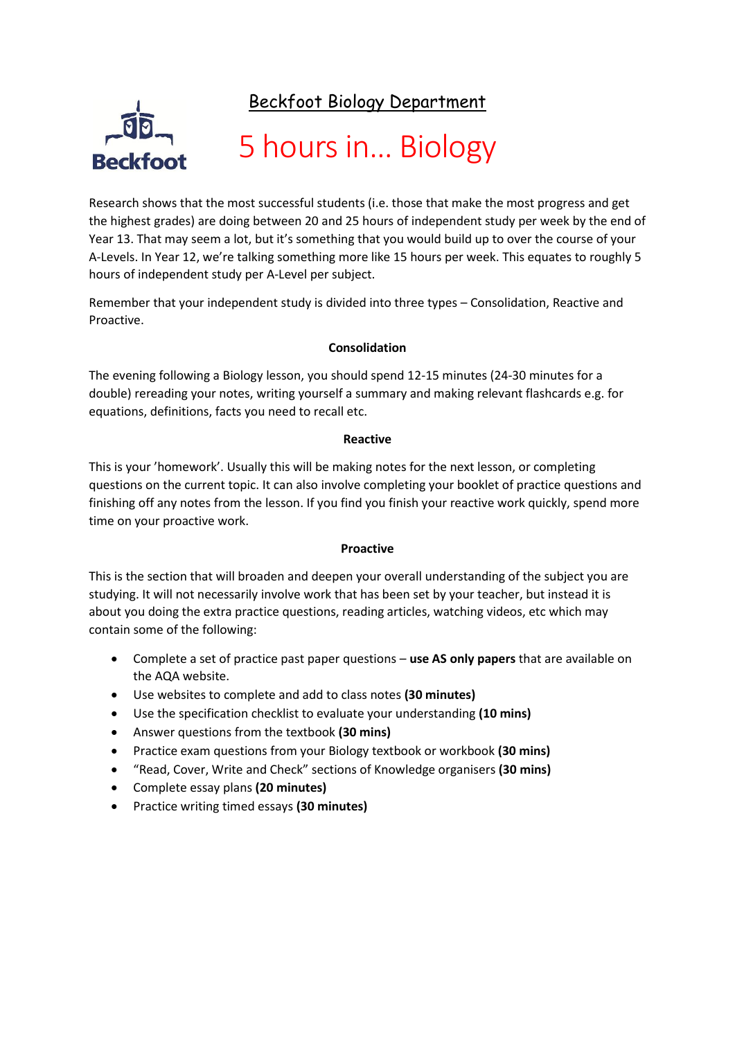Beckfoot Biology Department



## 5 hours in… Biology

Research shows that the most successful students (i.e. those that make the most progress and get the highest grades) are doing between 20 and 25 hours of independent study per week by the end of Year 13. That may seem a lot, but it's something that you would build up to over the course of your A-Levels. In Year 12, we're talking something more like 15 hours per week. This equates to roughly 5 hours of independent study per A-Level per subject.

Remember that your independent study is divided into three types – Consolidation, Reactive and Proactive.

## **Consolidation**

The evening following a Biology lesson, you should spend 12-15 minutes (24-30 minutes for a double) rereading your notes, writing yourself a summary and making relevant flashcards e.g. for equations, definitions, facts you need to recall etc.

### **Reactive**

This is your 'homework'. Usually this will be making notes for the next lesson, or completing questions on the current topic. It can also involve completing your booklet of practice questions and finishing off any notes from the lesson. If you find you finish your reactive work quickly, spend more time on your proactive work.

### **Proactive**

This is the section that will broaden and deepen your overall understanding of the subject you are studying. It will not necessarily involve work that has been set by your teacher, but instead it is about you doing the extra practice questions, reading articles, watching videos, etc which may contain some of the following:

- Complete a set of practice past paper questions **use AS only papers** that are available on the AQA website.
- Use websites to complete and add to class notes **(30 minutes)**
- Use the specification checklist to evaluate your understanding **(10 mins)**
- Answer questions from the textbook **(30 mins)**
- Practice exam questions from your Biology textbook or workbook **(30 mins)**
- "Read, Cover, Write and Check" sections of Knowledge organisers **(30 mins)**
- Complete essay plans **(20 minutes)**
- Practice writing timed essays **(30 minutes)**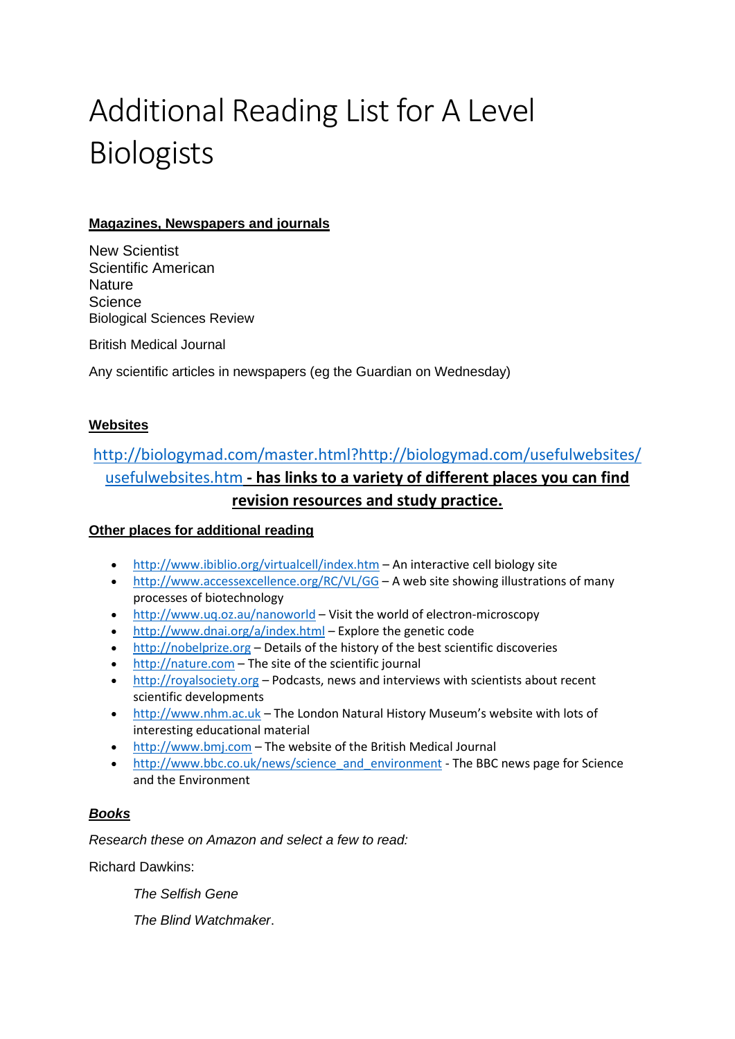# Additional Reading List for A Level Biologists

## **Magazines, Newspapers and journals**

New Scientist Scientific American **Nature Science** Biological Sciences Review

British Medical Journal

Any scientific articles in newspapers (eg the Guardian on Wednesday)

## **Websites**

## [http://biologymad.com/master.html?http://biologymad.com/usefulwebsites/](http://biologymad.com/master.html?http://biologymad.com/usefulwebsites/usefulwebsites.htm) [usefulwebsites.htm](http://biologymad.com/master.html?http://biologymad.com/usefulwebsites/usefulwebsites.htm) **- has links to a variety of different places you can find revision resources and study practice.**

## **Other places for additional reading**

- <http://www.ibiblio.org/virtualcell/index.htm> An interactive cell biology site
- <http://www.accessexcellence.org/RC/VL/GG> A web site showing illustrations of many processes of biotechnology
- [http://www.uq.oz.au/nanoworld](http://www.uq.oz.au/nanoworld/) Visit the world of electron-microscopy
- <http://www.dnai.org/a/index.html> Explore the genetic code
- [http://nobelprize.org](http://nobelprize.org/) Details of the history of the best scientific discoveries
- [http://nature.com](http://nature.com/) The site of the scientific journal
- [http://royalsociety.org](http://royalsociety.org/) Podcasts, news and interviews with scientists about recent scientific developments
- [http://www.nhm.ac.uk](http://www.nhm.ac.uk/) The London Natural History Museum's website with lots of interesting educational material
- [http://www.bmj.com](http://www.bmj.com/) The website of the British Medical Journal
- [http://www.bbc.co.uk/news/science\\_and\\_environment](http://www.bbc.co.uk/news/science_and_environment) The BBC news page for Science and the Environment

## *Books*

*Research these on Amazon and select a few to read:*

Richard Dawkins:

*The Selfish Gene* 

*The Blind Watchmaker*.